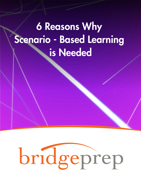## 6 Reasons Why Scenario - Based Learning is Needed

# bridgeprep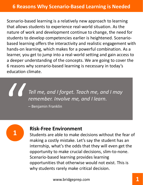Scenario‐based learning is a relatively new approach to learning that allows students to experience real‐world situation. As the nature of work and development continue to change, the need for students to develop competencies earlier is heightened. Scenario‐ based learning offers the interactivity and realistic engagement with hands‐on learning, which makes for a powerful combination. As a learner, you get to jump into a real‐world setting and gain access to a deeper understanding of the concepts. We are going to cover the 6 reasons why scenario‐based learning is necessary in today's education climate.

*Tell me, and I forget. Teach me, and I may remember. Involve me, and I learn.*

– Benjamin Franklin



#### **Risk‐Free Environment**

Students are able to make decisions without the fear of making a costly mistake. Let's say the student has an internship, what's the odds that they will even get the opportunity to make crucial decisions, slim‐to‐none. Scenario‐based learning provides learning opportunities that otherwise would not exist. This is why students rarely make critical decision.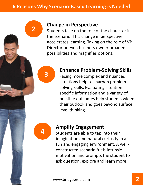## **2 Change in Perspective**<br>**2 Change in the role of the role of the role of the role of the role of the role of the role of the role of the role of the role of the role of the role of the role of the role of the role**

Students take on the role of the character in the scenario. This change in perspective accelerates learning. Taking on the role of VP, Director or even business owner broaden possibilities and magnifies options.



#### **Enhance Problem‐Solving Skills**

Facing more complex and nuanced situations help to sharpen problem‐ solving skills. Evaluating situation specific information and a variety of possible outcomes help students widen their outlook and goes beyond surface level thinking.



### **<sup>4</sup> Amplify Engagement**

Students are able to tap into their imagination and natural curiosity in a fun and engaging environment. A well‐ constructed scenario fuels intrinsic motivation and prompts the student to ask question, explore and learn more.